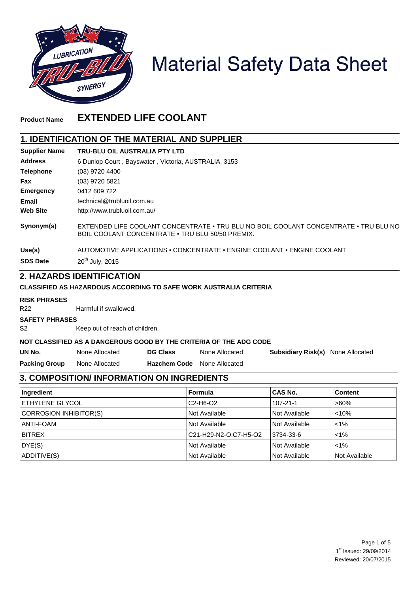

# **Material Safety Data Sheet**

# **Product Name EXTENDED LIFE COOLANT**

#### **1. IDENTIFICATION OF THE MATERIAL AND SUPPLIER**

| <b>Supplier Name</b> | TRU-BLU OIL AUSTRALIA PTY LTD                                                                                                            |
|----------------------|------------------------------------------------------------------------------------------------------------------------------------------|
| <b>Address</b>       | 6 Dunlop Court, Bayswater, Victoria, AUSTRALIA, 3153                                                                                     |
| <b>Telephone</b>     | $(03)$ 9720 4400                                                                                                                         |
| Fax                  | (03) 9720 5821                                                                                                                           |
| <b>Emergency</b>     | 0412 609 722                                                                                                                             |
| Email                | technical@trubluoil.com.au                                                                                                               |
| <b>Web Site</b>      | http://www.trubluoil.com.au/                                                                                                             |
| Synonym(s)           | EXTENDED LIFE COOLANT CONCENTRATE • TRU BLU NO BOIL COOLANT CONCENTRATE • TRU BLU NO<br>BOIL COOLANT CONCENTRATE • TRU BLU 50/50 PREMIX. |
| Use(s)               | AUTOMOTIVE APPLICATIONS . CONCENTRATE . ENGINE COOLANT . ENGINE COOLANT                                                                  |
| <b>SDS Date</b>      | $20^{th}$ July, 2015                                                                                                                     |
|                      | 2 LIAZADDR IDENTIEICATION                                                                                                                |

#### **2. HAZARDS IDENTIFICATION**

#### **CLASSIFIED AS HAZARDOUS ACCORDING TO SAFE WORK AUSTRALIA CRITERIA**

#### **RISK PHRASES**

R22 Harmful if swallowed.

#### **SAFETY PHRASES**

S2 Keep out of reach of children.

#### **NOT CLASSIFIED AS A DANGEROUS GOOD BY THE CRITERIA OF THE ADG CODE**

**DG Class**

- **UN No.**
- None Allocated

None Allocated

**Subsidiary Risk(s)** None Allocated

**Packing Group** None Allocated **Hazchem Code** None Allocated

# **3. COMPOSITION/ INFORMATION ON INGREDIENTS**

| Ingredient              | Formula               | <b>CAS No.</b> | <b>Content</b> |
|-------------------------|-----------------------|----------------|----------------|
| <b>IETHYLENE GLYCOL</b> | $C2-H6-O2$            | $107 - 21 - 1$ | $>60\%$        |
| CORROSION INHIBITOR(S)  | Not Available         | Not Available  | < 10%          |
| <b>IANTI-FOAM</b>       | Not Available         | Not Available  | $1\%$          |
| <b>BITREX</b>           | C21-H29-N2-O.C7-H5-O2 | 3734-33-6      | $1\%$          |
| DYE(S)                  | Not Available         | Not Available  | $1\%$          |
| ADDITIVE(S)             | <b>Not Available</b>  | Not Available  | Not Available  |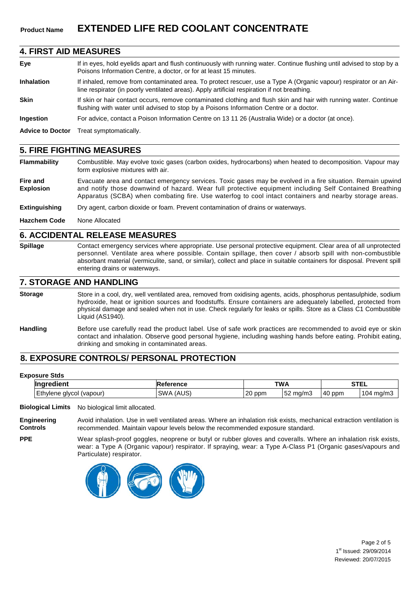# **Product Name EXTENDED LIFE RED COOLANT CONCENTRATE**

#### **4. FIRST AID MEASURES**

| Eye               | If in eyes, hold eyelids apart and flush continuously with running water. Continue flushing until advised to stop by a<br>Poisons Information Centre, a doctor, or for at least 15 minutes.                        |
|-------------------|--------------------------------------------------------------------------------------------------------------------------------------------------------------------------------------------------------------------|
| <b>Inhalation</b> | If inhaled, remove from contaminated area. To protect rescuer, use a Type A (Organic vapour) respirator or an Air-<br>line respirator (in poorly ventilated areas). Apply artificial respiration if not breathing. |
| <b>Skin</b>       | If skin or hair contact occurs, remove contaminated clothing and flush skin and hair with running water. Continue<br>flushing with water until advised to stop by a Poisons Information Centre or a doctor.        |
| <b>Ingestion</b>  | For advice, contact a Poison Information Centre on 13 11 26 (Australia Wide) or a doctor (at once).                                                                                                                |
|                   | Advice to Doctor Treat symptomatically                                                                                                                                                                             |

**Advice to Doctor** Treat symptomatically.

#### **5. FIRE FIGHTING MEASURES**

**Flammability** Combustible. May evolve toxic gases (carbon oxides, hydrocarbons) when heated to decomposition. Vapour may form explosive mixtures with air.

- **Fire and Explosion** Evacuate area and contact emergency services. Toxic gases may be evolved in a fire situation. Remain upwind and notify those downwind of hazard. Wear full protective equipment including Self Contained Breathing Apparatus (SCBA) when combating fire. Use waterfog to cool intact containers and nearby storage areas.
- **Extinguishing** Dry agent, carbon dioxide or foam. Prevent contamination of drains or waterways.
- **Hazchem Code** None Allocated

#### **6. ACCIDENTAL RELEASE MEASURES**

**Spillage** Contact emergency services where appropriate. Use personal protective equipment. Clear area of all unprotected personnel. Ventilate area where possible. Contain spillage, then cover / absorb spill with non-combustible absorbant material (vermiculite, sand, or similar), collect and place in suitable containers for disposal. Prevent spill entering drains or waterways.

#### **7. STORAGE AND HANDLING**

**Storage** Store in a cool, dry, well ventilated area, removed from oxidising agents, acids, phosphorus pentasulphide, sodium hydroxide, heat or ignition sources and foodstuffs. Ensure containers are adequately labelled, protected from physical damage and sealed when not in use. Check regularly for leaks or spills. Store as a Class C1 Combustible Liquid (AS1940).

**Handling** Before use carefully read the product label. Use of safe work practices are recommended to avoid eye or skin contact and inhalation. Observe good personal hygiene, including washing hands before eating. Prohibit eating, drinking and smoking in contaminated areas.

#### **8. EXPOSURE CONTROLS/ PERSONAL PROTECTION**

#### **Exposure Stds**

**PPE**

| . . <b>.</b> .<br><b>Inarc</b>         | ence                       | <b>TWA</b> |                        | <b>CTFI</b> | .              |
|----------------------------------------|----------------------------|------------|------------------------|-------------|----------------|
| (vapour<br>.<br>alvco<br>hvlana<br>. . | $\sim$<br><b>SWA</b><br>íΑ | 20<br>ppm  | $ \sim$<br>ma/m.<br>ےت | 140<br>ppm  | 104.<br>11.U/T |

**Biological Limits** No biological limit allocated.

**Engineering Controls** Avoid inhalation. Use in well ventilated areas. Where an inhalation risk exists, mechanical extraction ventilation is recommended. Maintain vapour levels below the recommended exposure standard.

Wear splash-proof goggles, neoprene or butyl or rubber gloves and coveralls. Where an inhalation risk exists, wear: a Type A (Organic vapour) respirator. If spraying, wear: a Type A-Class P1 (Organic gases/vapours and Particulate) respirator.

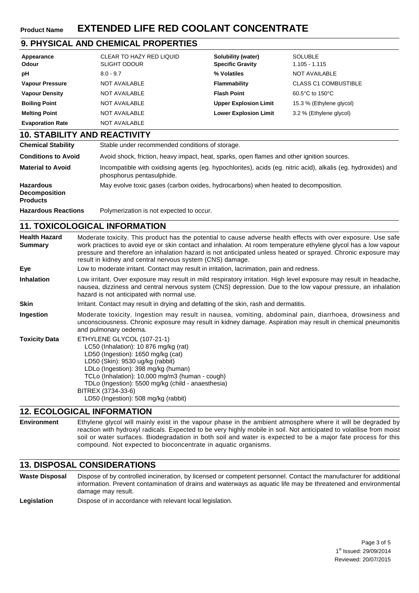# **Product Name EXTENDED LIFE RED COOLANT CONCENTRATE**

## **9. PHYSICAL AND CHEMICAL PROPERTIES**

| Appearance<br>Odour                 | CLEAR TO HAZY RED LIQUID<br><b>SLIGHT ODOUR</b> | Solubility (water)<br><b>Specific Gravity</b> | <b>SOLUBLE</b><br>$1.105 - 1.115$ |
|-------------------------------------|-------------------------------------------------|-----------------------------------------------|-----------------------------------|
| рH                                  | $8.0 - 9.7$                                     | % Volatiles                                   | <b>NOT AVAILABLE</b>              |
| <b>Vapour Pressure</b>              | NOT AVAILABLE                                   | Flammability                                  | <b>CLASS C1 COMBUSTIBLE</b>       |
| <b>Vapour Density</b>               | NOT AVAILABLE                                   | <b>Flash Point</b>                            | 60.5°C to 150°C                   |
| <b>Boiling Point</b>                | NOT AVAILABLE                                   | <b>Upper Explosion Limit</b>                  | 15.3 % (Ethylene glycol)          |
| <b>Melting Point</b>                | NOT AVAILABLE                                   | <b>Lower Explosion Limit</b>                  | 3.2 % (Ethylene glycol)           |
| <b>Evaporation Rate</b>             | NOT AVAILABLE                                   |                                               |                                   |
| <b>10. STABILITY AND REACTIVITY</b> |                                                 |                                               |                                   |

| <b>Chemical Stability</b>                                   | Stable under recommended conditions of storage.                                                                                            |
|-------------------------------------------------------------|--------------------------------------------------------------------------------------------------------------------------------------------|
| <b>Conditions to Avoid</b>                                  | Avoid shock, friction, heavy impact, heat, sparks, open flames and other ignition sources.                                                 |
| <b>Material to Avoid</b>                                    | Incompatible with oxidising agents (eg. hypochlorites), acids (eg. nitric acid), alkalis (eg. hydroxides) and<br>phosphorus pentasulphide. |
| <b>Hazardous</b><br><b>Decomposition</b><br><b>Products</b> | May evolve toxic gases (carbon oxides, hydrocarbons) when heated to decomposition.                                                         |
| <b>Hazardous Reactions</b>                                  | Polymerization is not expected to occur.                                                                                                   |

### **11. TOXICOLOGICAL INFORMATION**

| <b>Health Hazard</b><br><b>Summary</b> | Moderate toxicity. This product has the potential to cause adverse health effects with over exposure. Use safe<br>work practices to avoid eye or skin contact and inhalation. At room temperature ethylene glycol has a low vapour<br>pressure and therefore an inhalation hazard is not anticipated unless heated or sprayed. Chronic exposure may<br>result in kidney and central nervous system (CNS) damage. |
|----------------------------------------|------------------------------------------------------------------------------------------------------------------------------------------------------------------------------------------------------------------------------------------------------------------------------------------------------------------------------------------------------------------------------------------------------------------|
| Eye                                    | Low to moderate irritant. Contact may result in irritation, lacrimation, pain and redness.                                                                                                                                                                                                                                                                                                                       |
| <b>Inhalation</b>                      | Low irritant. Over exposure may result in mild respiratory irritation. High level exposure may result in headache,<br>nausea, dizziness and central nervous system (CNS) depression. Due to the low vapour pressure, an inhalation<br>hazard is not anticipated with normal use.                                                                                                                                 |
| Skin                                   | Irritant. Contact may result in drying and defatting of the skin, rash and dermatitis.                                                                                                                                                                                                                                                                                                                           |
| Ingestion                              | Moderate toxicity. Ingestion may result in nausea, vomiting, abdominal pain, diarrhoea, drowsiness and<br>unconsciousness. Chronic exposure may result in kidney damage. Aspiration may result in chemical pneumonitis<br>and pulmonary oedema.                                                                                                                                                                  |
| <b>Toxicity Data</b>                   | ETHYLENE GLYCOL (107-21-1)<br>LC50 (Inhalation): 10 876 mg/kg (rat)<br>LD50 (Ingestion): 1650 mg/kg (cat)<br>LD50 (Skin): 9530 ug/kg (rabbit)<br>LDLo (Ingestion): 398 mg/kg (human)<br>TCLo (Inhalation): 10,000 mg/m3 (human - cough)<br>TDLo (Ingestion): 5500 mg/kg (child - anaesthesia)<br>BITREX (3734-33-6)<br>LD50 (Ingestion): 508 mg/kg (rabbit)                                                      |

#### **12. ECOLOGICAL INFORMATION**

**Environment** Ethylene glycol will mainly exist in the vapour phase in the ambient atmosphere where it will be degraded by reaction with hydroxyl radicals. Expected to be very highly mobile in soil. Not anticipated to volatilise from moist soil or water surfaces. Biodegradation in both soil and water is expected to be a major fate process for this compound. Not expected to bioconcentrate in aquatic organisms.

#### **13. DISPOSAL CONSIDERATIONS**

**Waste Disposal** Dispose of by controlled incineration, by licensed or competent personnel. Contact the manufacturer for additional information. Prevent contamination of drains and waterways as aquatic life may be threatened and environmental damage may result.

Legislation **Dispose of in accordance with relevant local legislation.**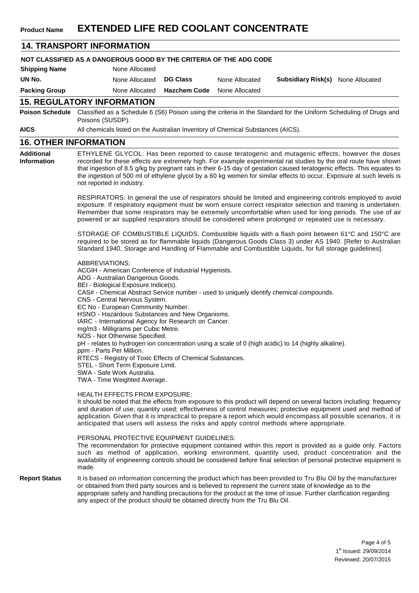#### **14. TRANSPORT INFORMATION NOT CLASSIFIED AS A DANGEROUS GOOD BY THE CRITERIA OF THE ADG CODE Shipping Name UN No. Packing Group** None Allocated None Allocated None Allocated **DG Class Hazchem Code** None Allocated None Allocated **Subsidiary Risk(s)** None Allocated **15. REGULATORY INFORMATION Poison Schedule** Classified as a Schedule 6 (S6) Poison using the criteria in the Standard for the Uniform Scheduling of Drugs and Poisons (SUSDP). **AICS** All chemicals listed on the Australian Inventory of Chemical Substances (AICS). **16. OTHER INFORMATION Additional Information** ETHYLENE GLYCOL: Has been reported to cause teratogenic and mutagenic effects, however the doses recorded for these effects are extremely high. For example experimental rat studies by the oral route have shown that ingestion of 8.5 g/kg by pregnant rats in their 6-15 day of gestation caused teratogenic effects. This equates to the ingestion of 500 ml of ethylene glycol by a 60 kg women for similar effects to occur. Exposure at such levels is not reported in industry. RESPIRATORS: In general the use of respirators should be limited and engineering controls employed to avoid exposure. If respiratory equipment must be worn ensure correct respirator selection and training is undertaken. Remember that some respirators may be extremely uncomfortable when used for long periods. The use of air powered or air supplied respirators should be considered where prolonged or repeated use is necessary. STORAGE OF COMBUSTIBLE LIQUIDS. Combustible liquids with a flash point between 61°C and 150°C are required to be stored as for flammable liquids (Dangerous Goods Class 3) under AS 1940. [Refer to Australian Standard 1940, Storage and Handling of Flammable and Combustible Liquids, for full storage guidelines]. ABBREVIATIONS: ACGIH - American Conference of Industrial Hygienists. ADG - Australian Dangerous Goods. BEI - Biological Exposure Indice(s). CAS# - Chemical Abstract Service number - used to uniquely identify chemical compounds. CNS - Central Nervous System. EC No - European Community Number. HSNO - Hazardous Substances and New Organisms. IARC - International Agency for Research on Cancer. mg/m3 - Milligrams per Cubic Metre. NOS - Not Otherwise Specified. pH - relates to hydrogen ion concentration using a scale of 0 (high acidic) to 14 (highly alkaline). ppm - Parts Per Million. RTECS - Registry of Toxic Effects of Chemical Substances. STEL - Short Term Exposure Limit. SWA - Safe Work Australia. TWA - Time Weighted Average. HEALTH EFFECTS FROM EXPOSURE: It should be noted that the effects from exposure to this product will depend on several factors including: frequency and duration of use; quantity used; effectiveness of control measures; protective equipment used and method of application. Given that it is impractical to prepare a report which would encompass all possible scenarios, it is anticipated that users will assess the risks and apply control methods where appropriate. PERSONAL PROTECTIVE EQUIPMENT GUIDELINES: The recommendation for protective equipment contained within this report is provided as a guide only. Factors such as method of application, working environment, quantity used, product concentration and the availability of engineering controls should be considered before final selection of personal protective equipment is made. **Report Status** It is based on information concerning the product which has been provided to Tru Blu Oil by the manufacturer or obtained from third party sources and is believed to represent the current state of knowledge as to the appropriate safety and handling precautions for the product at the time of issue. Further clarification regarding any aspect of the product should be obtained directly from the Tru Blu Oil.